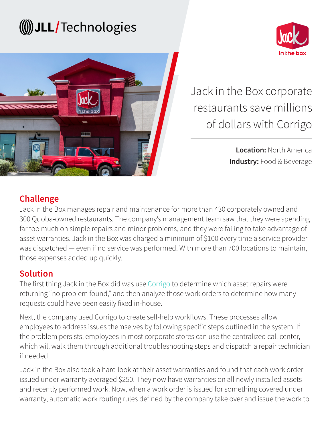## (() JLL/Technologies





Jack in the Box corporate restaurants save millions of dollars with Corrigo

> **Location:** North America **Industry:** Food & Beverage

#### **Challenge**

Jack in the Box manages repair and maintenance for more than 430 corporately owned and 300 Qdoba-owned restaurants. The company's management team saw that they were spending far too much on simple repairs and minor problems, and they were failing to take advantage of asset warranties. Jack in the Box was charged a minimum of \$100 every time a service provider was dispatched — even if no service was performed. With more than 700 locations to maintain, those expenses added up quickly.

#### **Solution**

The first thing Jack in the Box did was use [Corrigo](https://www.jllt.com/corrigo-cmms/) to determine which asset repairs were returning "no problem found," and then analyze those work orders to determine how many requests could have been easily fixed in-house.

Next, the company used Corrigo to create self-help workflows. These processes allow employees to address issues themselves by following specific steps outlined in the system. If the problem persists, employees in most corporate stores can use the centralized call center, which will walk them through additional troubleshooting steps and dispatch a repair technician if needed.

Jack in the Box also took a hard look at their asset warranties and found that each work order issued under warranty averaged \$250. They now have warranties on all newly installed assets and recently performed work. Now, when a work order is issued for something covered under warranty, automatic work routing rules defined by the company take over and issue the work to